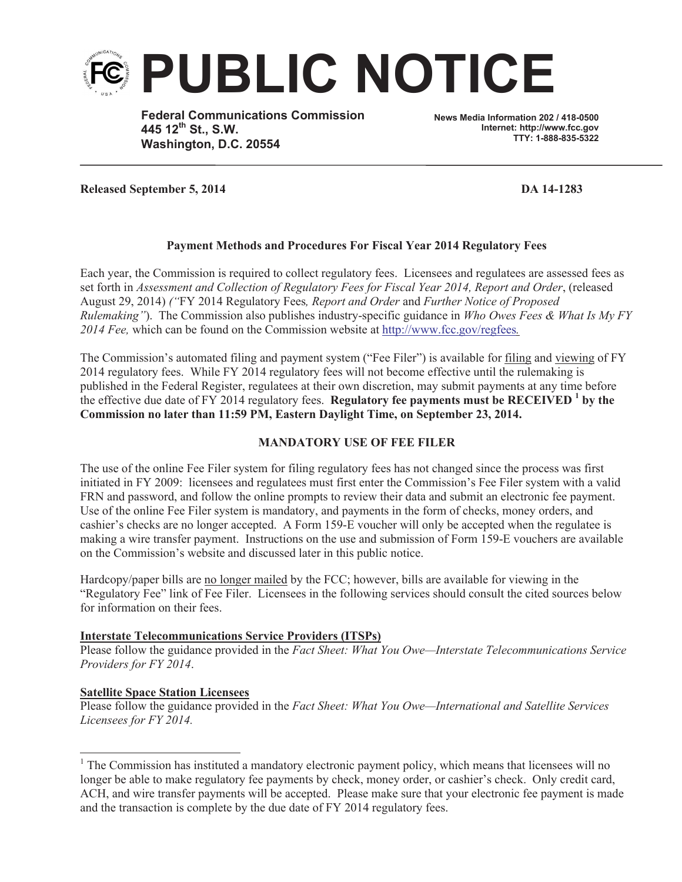

**Federal Communications Commission 445 12th St., S.W. Washington, D.C. 20554**

**News Media Information 202 / 418-0500 Internet: http://www.fcc.gov TTY: 1-888-835-5322**

**Released September 5, 2014 DA 14-1283**

# **Payment Methods and Procedures For Fiscal Year 2014 Regulatory Fees**

Each year, the Commission is required to collect regulatory fees. Licensees and regulatees are assessed fees as set forth in *Assessment and Collection of Regulatory Fees for Fiscal Year 2014, Report and Order*, (released August 29, 2014) *("*FY 2014 Regulatory Fees*, Report and Order* and *Further Notice of Proposed Rulemaking"*). The Commission also publishes industry-specific guidance in *Who Owes Fees & What Is My FY 2014 Fee,* which can be found on the Commission website at http://www.fcc.gov/regfees*.*

The Commission's automated filing and payment system ("Fee Filer") is available for filing and viewing of FY 2014 regulatory fees. While FY 2014 regulatory fees will not become effective until the rulemaking is published in the Federal Register, regulatees at their own discretion, may submit payments at any time before the effective due date of FY 2014 regulatory fees. **Regulatory fee payments must be RECEIVED <sup>1</sup> by the Commission no later than 11:59 PM, Eastern Daylight Time, on September 23, 2014.**

# **MANDATORY USE OF FEE FILER**

The use of the online Fee Filer system for filing regulatory fees has not changed since the process was first initiated in FY 2009: licensees and regulatees must first enter the Commission's Fee Filer system with a valid FRN and password, and follow the online prompts to review their data and submit an electronic fee payment. Use of the online Fee Filer system is mandatory, and payments in the form of checks, money orders, and cashier's checks are no longer accepted. A Form 159-E voucher will only be accepted when the regulatee is making a wire transfer payment. Instructions on the use and submission of Form 159-E vouchers are available on the Commission's website and discussed later in this public notice.

Hardcopy/paper bills are <u>no longer mailed</u> by the FCC; however, bills are available for viewing in the "Regulatory Fee" link of Fee Filer. Licensees in the following services should consult the cited sources below for information on their fees.

# **Interstate Telecommunications Service Providers (ITSPs)**

Please follow the guidance provided in the *Fact Sheet: What You Owe—Interstate Telecommunications Service Providers for FY 2014*.

# **Satellite Space Station Licensees**

Please follow the guidance provided in the *Fact Sheet: What You Owe—International and Satellite Services Licensees for FY 2014.*

<sup>&</sup>lt;sup>1</sup> The Commission has instituted a mandatory electronic payment policy, which means that licensees will no longer be able to make regulatory fee payments by check, money order, or cashier's check. Only credit card, ACH, and wire transfer payments will be accepted. Please make sure that your electronic fee payment is made and the transaction is complete by the due date of FY 2014 regulatory fees.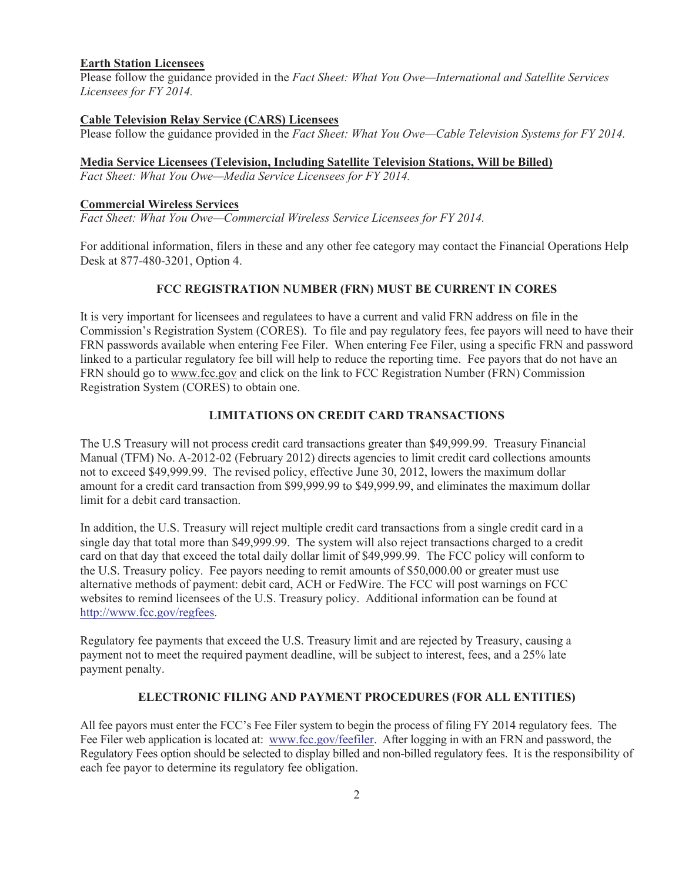# **Earth Station Licensees**

Please follow the guidance provided in the *Fact Sheet: What You Owe—International and Satellite Services Licensees for FY 2014.*

#### **Cable Television Relay Service (CARS) Licensees** Please follow the guidance provided in the *Fact Sheet: What You Owe—Cable Television Systems for FY 2014.*

### **Media Service Licensees (Television, Including Satellite Television Stations, Will be Billed)**

*Fact Sheet: What You Owe—Media Service Licensees for FY 2014.*

### **Commercial Wireless Services**

*Fact Sheet: What You Owe—Commercial Wireless Service Licensees for FY 2014.*

For additional information, filers in these and any other fee category may contact the Financial Operations Help Desk at 877-480-3201, Option 4.

# **FCC REGISTRATION NUMBER (FRN) MUST BE CURRENT IN CORES**

It is very important for licensees and regulatees to have a current and valid FRN address on file in the Commission's Registration System (CORES). To file and pay regulatory fees, fee payors will need to have their FRN passwords available when entering Fee Filer. When entering Fee Filer, using a specific FRN and password linked to a particular regulatory fee bill will help to reduce the reporting time. Fee payors that do not have an FRN should go to www.fcc.gov and click on the link to FCC Registration Number (FRN) Commission Registration System (CORES) to obtain one.

# **LIMITATIONS ON CREDIT CARD TRANSACTIONS**

The U.S Treasury will not process credit card transactions greater than \$49,999.99. Treasury Financial Manual (TFM) No. A-2012-02 (February 2012) directs agencies to limit credit card collections amounts not to exceed \$49,999.99. The revised policy, effective June 30, 2012, lowers the maximum dollar amount for a credit card transaction from \$99,999.99 to \$49,999.99, and eliminates the maximum dollar limit for a debit card transaction.

In addition, the U.S. Treasury will reject multiple credit card transactions from a single credit card in a single day that total more than \$49,999.99. The system will also reject transactions charged to a credit card on that day that exceed the total daily dollar limit of \$49,999.99. The FCC policy will conform to the U.S. Treasury policy. Fee payors needing to remit amounts of \$50,000.00 or greater must use alternative methods of payment: debit card, ACH or FedWire. The FCC will post warnings on FCC websites to remind licensees of the U.S. Treasury policy. Additional information can be found at http://www.fcc.gov/regfees.

Regulatory fee payments that exceed the U.S. Treasury limit and are rejected by Treasury, causing a payment not to meet the required payment deadline, will be subject to interest, fees, and a 25% late payment penalty.

# **ELECTRONIC FILING AND PAYMENT PROCEDURES (FOR ALL ENTITIES)**

All fee payors must enter the FCC's Fee Filer system to begin the process of filing FY 2014 regulatory fees. The Fee Filer web application is located at: www.fcc.gov/feefiler. After logging in with an FRN and password, the Regulatory Fees option should be selected to display billed and non-billed regulatory fees. It is the responsibility of each fee payor to determine its regulatory fee obligation.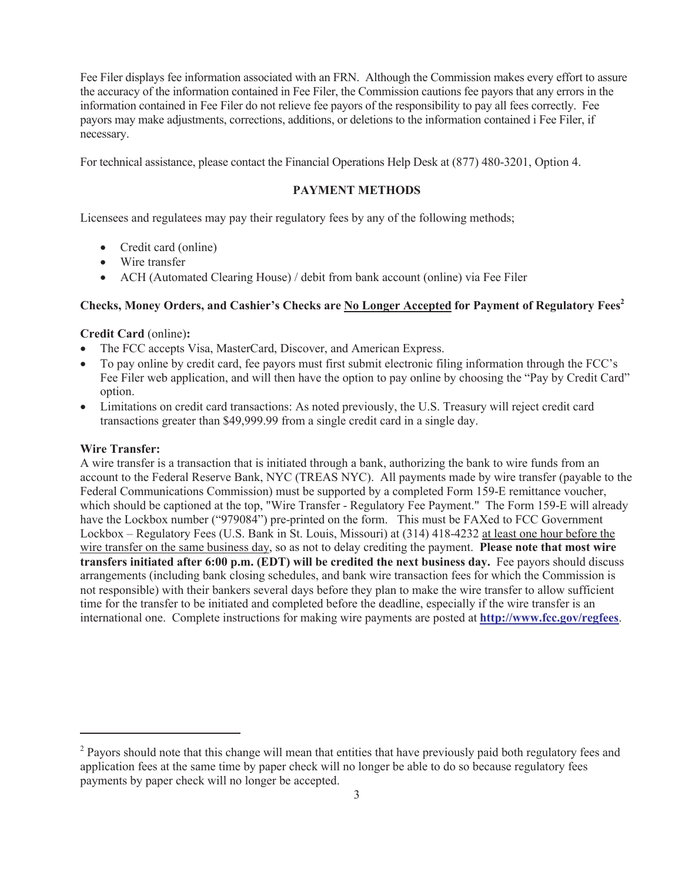Fee Filer displays fee information associated with an FRN. Although the Commission makes every effort to assure the accuracy of the information contained in Fee Filer, the Commission cautions fee payors that any errors in the information contained in Fee Filer do not relieve fee payors of the responsibility to pay all fees correctly. Fee payors may make adjustments, corrections, additions, or deletions to the information contained i Fee Filer, if necessary.

For technical assistance, please contact the Financial Operations Help Desk at (877) 480-3201, Option 4.

### **PAYMENT METHODS**

Licensees and regulatees may pay their regulatory fees by any of the following methods;

- Credit card (online)
- Wire transfer
- ACH (Automated Clearing House) / debit from bank account (online) via Fee Filer

### **Checks, Money Orders, and Cashier's Checks are No Longer Accepted for Payment of Regulatory Fees<sup>2</sup>**

#### **Credit Card** (online)**:**

- The FCC accepts Visa, MasterCard, Discover, and American Express.
- · To pay online by credit card, fee payors must first submit electronic filing information through the FCC's Fee Filer web application, and will then have the option to pay online by choosing the "Pay by Credit Card" option.
- · Limitations on credit card transactions: As noted previously, the U.S. Treasury will reject credit card transactions greater than \$49,999.99 from a single credit card in a single day.

#### **Wire Transfer:**

A wire transfer is a transaction that is initiated through a bank, authorizing the bank to wire funds from an account to the Federal Reserve Bank, NYC (TREAS NYC). All payments made by wire transfer (payable to the Federal Communications Commission) must be supported by a completed Form 159-E remittance voucher, which should be captioned at the top, "Wire Transfer - Regulatory Fee Payment." The Form 159-E will already have the Lockbox number ("979084") pre-printed on the form. This must be FAXed to FCC Government Lockbox – Regulatory Fees (U.S. Bank in St. Louis, Missouri) at (314) 418-4232 at least one hour before the wire transfer on the same business day, so as not to delay crediting the payment. **Please note that most wire transfers initiated after 6:00 p.m. (EDT) will be credited the next business day.** Fee payors should discuss arrangements (including bank closing schedules, and bank wire transaction fees for which the Commission is not responsible) with their bankers several days before they plan to make the wire transfer to allow sufficient time for the transfer to be initiated and completed before the deadline, especially if the wire transfer is an international one. Complete instructions for making wire payments are posted at **http://www.fcc.gov/regfees**.

<sup>&</sup>lt;sup>2</sup> Payors should note that this change will mean that entities that have previously paid both regulatory fees and application fees at the same time by paper check will no longer be able to do so because regulatory fees payments by paper check will no longer be accepted.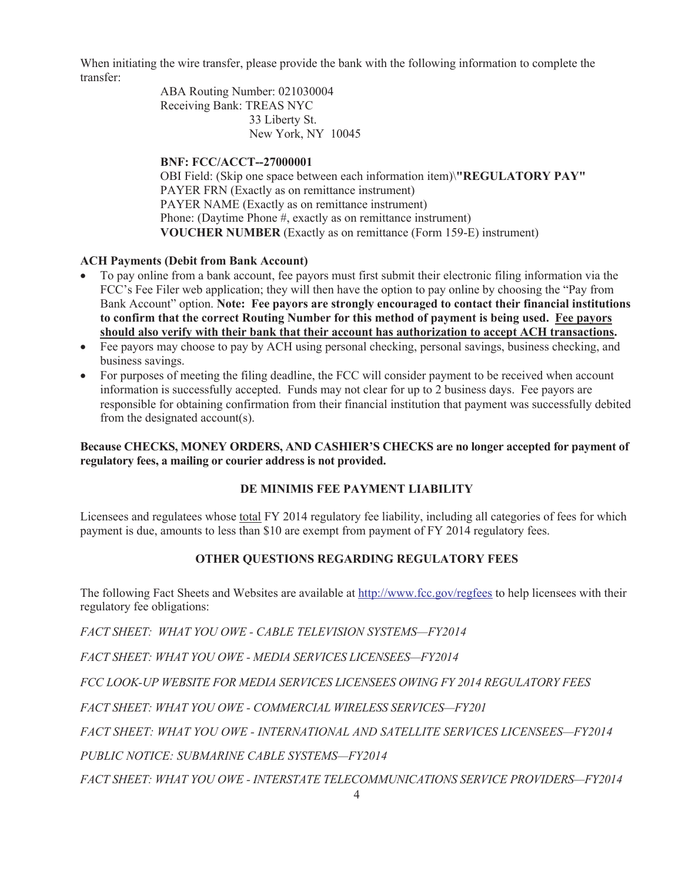When initiating the wire transfer, please provide the bank with the following information to complete the transfer:

> ABA Routing Number: 021030004 Receiving Bank: TREAS NYC 33 Liberty St. New York, NY 10045

# **BNF: FCC/ACCT--27000001**

OBI Field: (Skip one space between each information item)\**"REGULATORY PAY"** PAYER FRN (Exactly as on remittance instrument) PAYER NAME (Exactly as on remittance instrument) Phone: (Daytime Phone #, exactly as on remittance instrument) **VOUCHER NUMBER** (Exactly as on remittance (Form 159-E) instrument)

# **ACH Payments (Debit from Bank Account)**

- · To pay online from a bank account, fee payors must first submit their electronic filing information via the FCC's Fee Filer web application; they will then have the option to pay online by choosing the "Pay from Bank Account" option. **Note: Fee payors are strongly encouraged to contact their financial institutions to confirm that the correct Routing Number for this method of payment is being used. Fee payors should also verify with their bank that their account has authorization to accept ACH transactions.**
- Fee payors may choose to pay by ACH using personal checking, personal savings, business checking, and business savings.
- For purposes of meeting the filing deadline, the FCC will consider payment to be received when account information is successfully accepted. Funds may not clear for up to 2 business days. Fee payors are responsible for obtaining confirmation from their financial institution that payment was successfully debited from the designated account(s).

# **Because CHECKS, MONEY ORDERS, AND CASHIER'S CHECKS are no longer accepted for payment of regulatory fees, a mailing or courier address is not provided.**

# **DE MINIMIS FEE PAYMENT LIABILITY**

Licensees and regulatees whose total FY 2014 regulatory fee liability, including all categories of fees for which payment is due, amounts to less than \$10 are exempt from payment of FY 2014 regulatory fees.

# **OTHER QUESTIONS REGARDING REGULATORY FEES**

The following Fact Sheets and Websites are available at http://www.fcc.gov/regfees to help licensees with their regulatory fee obligations:

*FACT SHEET: WHAT YOU OWE - CABLE TELEVISION SYSTEMS—FY2014*

*FACT SHEET: WHAT YOU OWE - MEDIA SERVICES LICENSEES—FY2014*

*FCC LOOK-UP WEBSITE FOR MEDIA SERVICES LICENSEES OWING FY 2014 REGULATORY FEES* 

*FACT SHEET: WHAT YOU OWE - COMMERCIAL WIRELESS SERVICES—FY201*

*FACT SHEET: WHAT YOU OWE - INTERNATIONAL AND SATELLITE SERVICES LICENSEES—FY2014*

*PUBLIC NOTICE: SUBMARINE CABLE SYSTEMS—FY2014*

*FACT SHEET: WHAT YOU OWE - INTERSTATE TELECOMMUNICATIONS SERVICE PROVIDERS—FY2014*